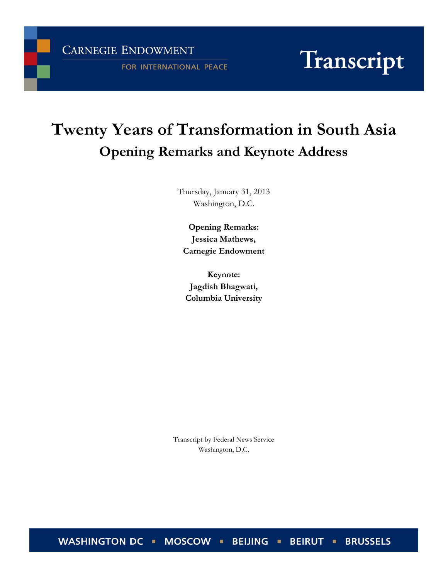**CARNEGIE ENDOWMENT** 

FOR INTERNATIONAL PEACE

# Transcript

# **Twenty Years of Transformation in South Asia Opening Remarks and Keynote Address**

Thursday, January 31, 2013 Washington, D.C.

**Opening Remarks: Jessica Mathews, Carnegie Endowment**

**Keynote: Jagdish Bhagwati, Columbia University**

Transcript by Federal News Service Washington, D.C.

WASHINGTON DC · MOSCOW · BEIJING · **BEIRUT - BRUSSELS**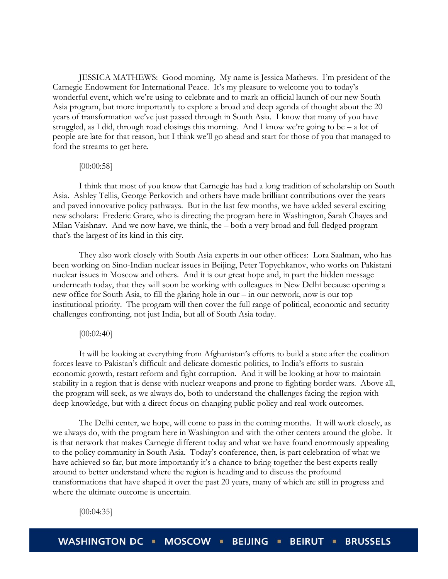JESSICA MATHEWS: Good morning. My name is Jessica Mathews. I'm president of the Carnegie Endowment for International Peace. It's my pleasure to welcome you to today's wonderful event, which we're using to celebrate and to mark an official launch of our new South Asia program, but more importantly to explore a broad and deep agenda of thought about the 20 years of transformation we've just passed through in South Asia. I know that many of you have struggled, as I did, through road closings this morning. And I know we're going to be  $-$  a lot of people are late for that reason, but I think we'll go ahead and start for those of you that managed to ford the streams to get here.

# [00:00:58]

I think that most of you know that Carnegie has had a long tradition of scholarship on South Asia. Ashley Tellis, George Perkovich and others have made brilliant contributions over the years and paved innovative policy pathways. But in the last few months, we have added several exciting new scholars: Frederic Grare, who is directing the program here in Washington, Sarah Chayes and Milan Vaishnav. And we now have, we think, the – both a very broad and full-fledged program that's the largest of its kind in this city.

They also work closely with South Asia experts in our other offices: Lora Saalman, who has been working on Sino-Indian nuclear issues in Beijing, Peter Topychkanov, who works on Pakistani nuclear issues in Moscow and others. And it is our great hope and, in part the hidden message underneath today, that they will soon be working with colleagues in New Delhi because opening a new office for South Asia, to fill the glaring hole in our – in our network, now is our top institutional priority. The program will then cover the full range of political, economic and security challenges confronting, not just India, but all of South Asia today.

# [00:02:40]

It will be looking at everything from Afghanistan's efforts to build a state after the coalition forces leave to Pakistan's difficult and delicate domestic politics, to India's efforts to sustain economic growth, restart reform and fight corruption. And it will be looking at how to maintain stability in a region that is dense with nuclear weapons and prone to fighting border wars. Above all, the program will seek, as we always do, both to understand the challenges facing the region with deep knowledge, but with a direct focus on changing public policy and real-work outcomes.

The Delhi center, we hope, will come to pass in the coming months. It will work closely, as we always do, with the program here in Washington and with the other centers around the globe. It is that network that makes Carnegie different today and what we have found enormously appealing to the policy community in South Asia. Today's conference, then, is part celebration of what we have achieved so far, but more importantly it's a chance to bring together the best experts really around to better understand where the region is heading and to discuss the profound transformations that have shaped it over the past 20 years, many of which are still in progress and where the ultimate outcome is uncertain.

[00:04:35]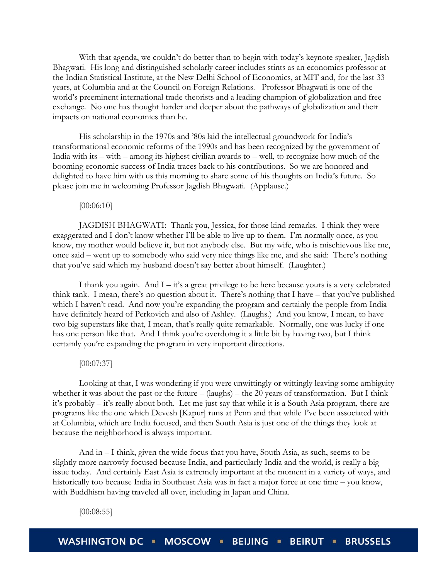With that agenda, we couldn't do better than to begin with today's keynote speaker, Jagdish Bhagwati. His long and distinguished scholarly career includes stints as an economics professor at the Indian Statistical Institute, at the New Delhi School of Economics, at MIT and, for the last 33 years, at Columbia and at the Council on Foreign Relations. Professor Bhagwati is one of the world's preeminent international trade theorists and a leading champion of globalization and free exchange. No one has thought harder and deeper about the pathways of globalization and their impacts on national economies than he.

His scholarship in the 1970s and '80s laid the intellectual groundwork for India's transformational economic reforms of the 1990s and has been recognized by the government of India with its – with – among its highest civilian awards to – well, to recognize how much of the booming economic success of India traces back to his contributions. So we are honored and delighted to have him with us this morning to share some of his thoughts on India's future. So please join me in welcoming Professor Jagdish Bhagwati. (Applause.)

[00:06:10]

JAGDISH BHAGWATI: Thank you, Jessica, for those kind remarks. I think they were exaggerated and I don't know whether I'll be able to live up to them. I'm normally once, as you know, my mother would believe it, but not anybody else. But my wife, who is mischievous like me, once said – went up to somebody who said very nice things like me, and she said: There's nothing that you've said which my husband doesn't say better about himself. (Laughter.)

I thank you again. And  $I - i t$ 's a great privilege to be here because yours is a very celebrated think tank. I mean, there's no question about it. There's nothing that I have – that you've published which I haven't read. And now you're expanding the program and certainly the people from India have definitely heard of Perkovich and also of Ashley. (Laughs.) And you know, I mean, to have two big superstars like that, I mean, that's really quite remarkable. Normally, one was lucky if one has one person like that. And I think you're overdoing it a little bit by having two, but I think certainly you're expanding the program in very important directions.

#### [00:07:37]

Looking at that, I was wondering if you were unwittingly or wittingly leaving some ambiguity whether it was about the past or the future – (laughs) – the 20 years of transformation. But I think it's probably – it's really about both. Let me just say that while it is a South Asia program, there are programs like the one which Devesh [Kapur] runs at Penn and that while I've been associated with at Columbia, which are India focused, and then South Asia is just one of the things they look at because the neighborhood is always important.

And in – I think, given the wide focus that you have, South Asia, as such, seems to be slightly more narrowly focused because India, and particularly India and the world, is really a big issue today. And certainly East Asia is extremely important at the moment in a variety of ways, and historically too because India in Southeast Asia was in fact a major force at one time – you know, with Buddhism having traveled all over, including in Japan and China.

[00:08:55]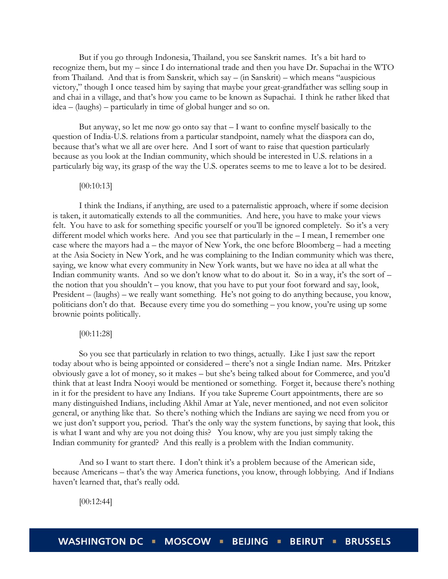But if you go through Indonesia, Thailand, you see Sanskrit names. It's a bit hard to recognize them, but my – since I do international trade and then you have Dr. Supachai in the WTO from Thailand. And that is from Sanskrit, which say – (in Sanskrit) – which means "auspicious victory," though I once teased him by saying that maybe your great-grandfather was selling soup in and chai in a village, and that's how you came to be known as Supachai. I think he rather liked that idea – (laughs) – particularly in time of global hunger and so on.

But anyway, so let me now go onto say that  $-1$  want to confine myself basically to the question of India-U.S. relations from a particular standpoint, namely what the diaspora can do, because that's what we all are over here. And I sort of want to raise that question particularly because as you look at the Indian community, which should be interested in U.S. relations in a particularly big way, its grasp of the way the U.S. operates seems to me to leave a lot to be desired.

# [00:10:13]

I think the Indians, if anything, are used to a paternalistic approach, where if some decision is taken, it automatically extends to all the communities. And here, you have to make your views felt. You have to ask for something specific yourself or you'll be ignored completely. So it's a very different model which works here. And you see that particularly in the – I mean, I remember one case where the mayors had a – the mayor of New York, the one before Bloomberg – had a meeting at the Asia Society in New York, and he was complaining to the Indian community which was there, saying, we know what every community in New York wants, but we have no idea at all what the Indian community wants. And so we don't know what to do about it. So in a way, it's the sort of – the notion that you shouldn't – you know, that you have to put your foot forward and say, look, President – (laughs) – we really want something. He's not going to do anything because, you know, politicians don't do that. Because every time you do something – you know, you're using up some brownie points politically.

# [00:11:28]

So you see that particularly in relation to two things, actually. Like I just saw the report today about who is being appointed or considered – there's not a single Indian name. Mrs. Pritzker obviously gave a lot of money, so it makes – but she's being talked about for Commerce, and you'd think that at least Indra Nooyi would be mentioned or something. Forget it, because there's nothing in it for the president to have any Indians. If you take Supreme Court appointments, there are so many distinguished Indians, including Akhil Amar at Yale, never mentioned, and not even solicitor general, or anything like that. So there's nothing which the Indians are saying we need from you or we just don't support you, period. That's the only way the system functions, by saying that look, this is what I want and why are you not doing this? You know, why are you just simply taking the Indian community for granted? And this really is a problem with the Indian community.

And so I want to start there. I don't think it's a problem because of the American side, because Americans – that's the way America functions, you know, through lobbying. And if Indians haven't learned that, that's really odd.

[00:12:44]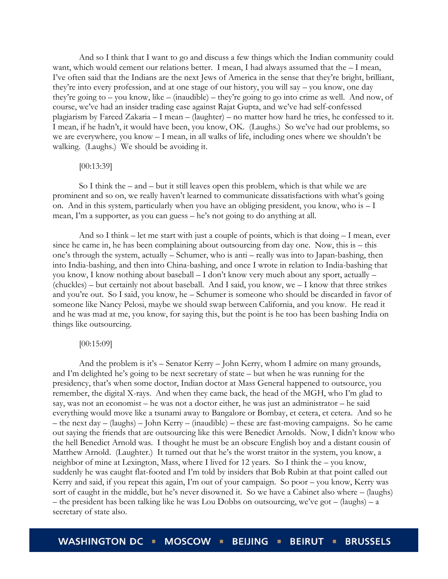And so I think that I want to go and discuss a few things which the Indian community could want, which would cement our relations better. I mean, I had always assumed that the – I mean, I've often said that the Indians are the next Jews of America in the sense that they're bright, brilliant, they're into every profession, and at one stage of our history, you will say – you know, one day they're going to – you know, like – (inaudible) – they're going to go into crime as well. And now, of course, we've had an insider trading case against Rajat Gupta, and we've had self-confessed plagiarism by Fareed Zakaria – I mean – (laughter) – no matter how hard he tries, he confessed to it. I mean, if he hadn't, it would have been, you know, OK. (Laughs.) So we've had our problems, so we are everywhere, you know – I mean, in all walks of life, including ones where we shouldn't be walking. (Laughs.) We should be avoiding it.

#### [00:13:39]

So I think the – and – but it still leaves open this problem, which is that while we are prominent and so on, we really haven't learned to communicate dissatisfactions with what's going on. And in this system, particularly when you have an obliging president, you know, who is  $-1$ mean, I'm a supporter, as you can guess – he's not going to do anything at all.

And so I think – let me start with just a couple of points, which is that doing – I mean, ever since he came in, he has been complaining about outsourcing from day one. Now, this is – this one's through the system, actually – Schumer, who is anti – really was into to Japan-bashing, then into India-bashing, and then into China-bashing, and once I wrote in relation to India-bashing that you know, I know nothing about baseball – I don't know very much about any sport, actually – (chuckles) – but certainly not about baseball. And I said, you know, we – I know that three strikes and you're out. So I said, you know, he – Schumer is someone who should be discarded in favor of someone like Nancy Pelosi, maybe we should swap between California, and you know. He read it and he was mad at me, you know, for saying this, but the point is he too has been bashing India on things like outsourcing.

#### [00:15:09]

And the problem is it's – Senator Kerry – John Kerry, whom I admire on many grounds, and I'm delighted he's going to be next secretary of state – but when he was running for the presidency, that's when some doctor, Indian doctor at Mass General happened to outsource, you remember, the digital X-rays. And when they came back, the head of the MGH, who I'm glad to say, was not an economist – he was not a doctor either, he was just an administrator – he said everything would move like a tsunami away to Bangalore or Bombay, et cetera, et cetera. And so he – the next day – (laughs) – John Kerry – (inaudible) – these are fast-moving campaigns. So he came out saying the friends that are outsourcing like this were Benedict Arnolds. Now, I didn't know who the hell Benedict Arnold was. I thought he must be an obscure English boy and a distant cousin of Matthew Arnold. (Laughter.) It turned out that he's the worst traitor in the system, you know, a neighbor of mine at Lexington, Mass, where I lived for 12 years. So I think the – you know, suddenly he was caught flat-footed and I'm told by insiders that Bob Rubin at that point called out Kerry and said, if you repeat this again, I'm out of your campaign. So poor – you know, Kerry was sort of caught in the middle, but he's never disowned it. So we have a Cabinet also where – (laughs) – the president has been talking like he was Lou Dobbs on outsourcing, we've got – (laughs) – a secretary of state also.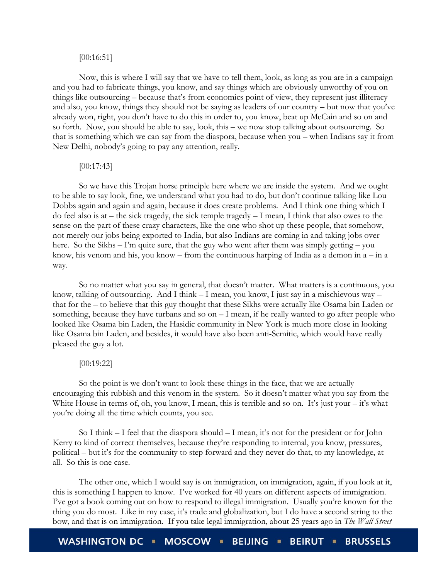#### [00:16:51]

Now, this is where I will say that we have to tell them, look, as long as you are in a campaign and you had to fabricate things, you know, and say things which are obviously unworthy of you on things like outsourcing – because that's from economics point of view, they represent just illiteracy and also, you know, things they should not be saying as leaders of our country – but now that you've already won, right, you don't have to do this in order to, you know, beat up McCain and so on and so forth. Now, you should be able to say, look, this – we now stop talking about outsourcing. So that is something which we can say from the diaspora, because when you – when Indians say it from New Delhi, nobody's going to pay any attention, really.

# [00:17:43]

So we have this Trojan horse principle here where we are inside the system. And we ought to be able to say look, fine, we understand what you had to do, but don't continue talking like Lou Dobbs again and again and again, because it does create problems. And I think one thing which I do feel also is at – the sick tragedy, the sick temple tragedy – I mean, I think that also owes to the sense on the part of these crazy characters, like the one who shot up these people, that somehow, not merely our jobs being exported to India, but also Indians are coming in and taking jobs over here. So the Sikhs – I'm quite sure, that the guy who went after them was simply getting – you know, his venom and his, you know – from the continuous harping of India as a demon in  $a - in a$ way.

So no matter what you say in general, that doesn't matter. What matters is a continuous, you know, talking of outsourcing. And I think – I mean, you know, I just say in a mischievous way – that for the – to believe that this guy thought that these Sikhs were actually like Osama bin Laden or something, because they have turbans and so on – I mean, if he really wanted to go after people who looked like Osama bin Laden, the Hasidic community in New York is much more close in looking like Osama bin Laden, and besides, it would have also been anti-Semitic, which would have really pleased the guy a lot.

## [00:19:22]

So the point is we don't want to look these things in the face, that we are actually encouraging this rubbish and this venom in the system. So it doesn't matter what you say from the White House in terms of, oh, you know, I mean, this is terrible and so on. It's just your – it's what you're doing all the time which counts, you see.

So I think  $-$  I feel that the diaspora should  $-$  I mean, it's not for the president or for John Kerry to kind of correct themselves, because they're responding to internal, you know, pressures, political – but it's for the community to step forward and they never do that, to my knowledge, at all. So this is one case.

The other one, which I would say is on immigration, on immigration, again, if you look at it, this is something I happen to know. I've worked for 40 years on different aspects of immigration. I've got a book coming out on how to respond to illegal immigration. Usually you're known for the thing you do most. Like in my case, it's trade and globalization, but I do have a second string to the bow, and that is on immigration. If you take legal immigration, about 25 years ago in *The Wall Street* 

**WASHINGTON DC MOSCOW BEIJING • BEIRUT = BRUSSELS**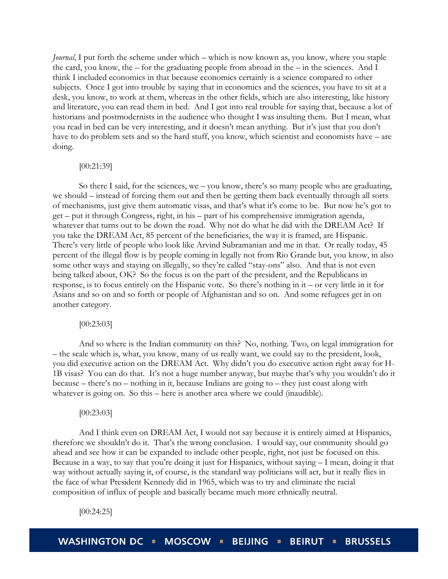*Journal*, I put forth the scheme under which – which is now known as, you know, where you staple the card, you know, the – for the graduating people from abroad in the – in the sciences. And I think I included economics in that because economics certainly is a science compared to other subjects. Once I got into trouble by saying that in economics and the sciences, you have to sit at a desk, you know, to work at them, whereas in the other fields, which are also interesting, like history and literature, you can read them in bed. And I got into real trouble for saying that, because a lot of historians and postmodernists in the audience who thought I was insulting them. But I mean, what you read in bed can be very interesting, and it doesn't mean anything. But it's just that you don't have to do problem sets and so the hard stuff, you know, which scientist and economists have – are doing.

# [00:21:39]

So there I said, for the sciences, we – you know, there's so many people who are graduating, we should – instead of forcing them out and then be getting them back eventually through all sorts of mechanisms, just give them automatic visas, and that's what it's come to be. But now he's got to get – put it through Congress, right, in his – part of his comprehensive immigration agenda, whatever that turns out to be down the road. Why not do what he did with the DREAM Act? If you take the DREAM Act, 85 percent of the beneficiaries, the way it is framed, are Hispanic. There's very little of people who look like Arvind Subramanian and me in that. Or really today, 45 percent of the illegal flow is by people coming in legally not from Rio Grande but, you know, in also some other ways and staying on illegally, so they're called "stay-ons" also. And that is not even being talked about, OK? So the focus is on the part of the president, and the Republicans in response, is to focus entirely on the Hispanic vote. So there's nothing in it – or very little in it for Asians and so on and so forth or people of Afghanistan and so on. And some refugees get in on another category.

#### [00:23:03]

And so where is the Indian community on this? No, nothing. Two, on legal immigration for – the scale which is, what, you know, many of us really want, we could say to the president, look, you did executive action on the DREAM Act. Why didn't you do executive action right away for H-1B visas? You can do that. It's not a huge number anyway, but maybe that's why you wouldn't do it because – there's no – nothing in it, because Indians are going to – they just coast along with whatever is going on. So this – here is another area where we could (inaudible).

#### [00:23:03]

And I think even on DREAM Act, I would not say because it is entirely aimed at Hispanics, therefore we shouldn't do it. That's the wrong conclusion. I would say, our community should go ahead and see how it can be expanded to include other people, right, not just be focused on this. Because in a way, to say that you're doing it just for Hispanics, without saying – I mean, doing it that way without actually saying it, of course, is the standard way politicians will act, but it really flies in the face of what President Kennedy did in 1965, which was to try and eliminate the racial composition of influx of people and basically became much more ethnically neutral.

[00:24:25]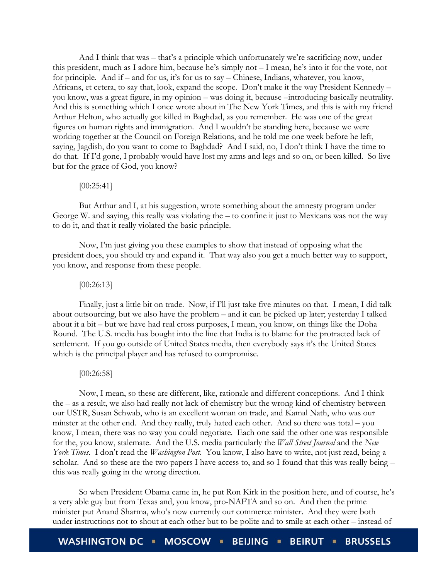And I think that was – that's a principle which unfortunately we're sacrificing now, under this president, much as I adore him, because he's simply not – I mean, he's into it for the vote, not for principle. And if – and for us, it's for us to say – Chinese, Indians, whatever, you know, Africans, et cetera, to say that, look, expand the scope. Don't make it the way President Kennedy – you know, was a great figure, in my opinion – was doing it, because –introducing basically neutrality. And this is something which I once wrote about in The New York Times, and this is with my friend Arthur Helton, who actually got killed in Baghdad, as you remember. He was one of the great figures on human rights and immigration. And I wouldn't be standing here, because we were working together at the Council on Foreign Relations, and he told me one week before he left, saying, Jagdish, do you want to come to Baghdad? And I said, no, I don't think I have the time to do that. If I'd gone, I probably would have lost my arms and legs and so on, or been killed. So live but for the grace of God, you know?

# [00:25:41]

But Arthur and I, at his suggestion, wrote something about the amnesty program under George W. and saying, this really was violating the – to confine it just to Mexicans was not the way to do it, and that it really violated the basic principle.

Now, I'm just giving you these examples to show that instead of opposing what the president does, you should try and expand it. That way also you get a much better way to support, you know, and response from these people.

#### [00:26:13]

Finally, just a little bit on trade. Now, if I'll just take five minutes on that. I mean, I did talk about outsourcing, but we also have the problem – and it can be picked up later; yesterday I talked about it a bit – but we have had real cross purposes, I mean, you know, on things like the Doha Round. The U.S. media has bought into the line that India is to blame for the protracted lack of settlement. If you go outside of United States media, then everybody says it's the United States which is the principal player and has refused to compromise.

# [00:26:58]

Now, I mean, so these are different, like, rationale and different conceptions. And I think the – as a result, we also had really not lack of chemistry but the wrong kind of chemistry between our USTR, Susan Schwab, who is an excellent woman on trade, and Kamal Nath, who was our minster at the other end. And they really, truly hated each other. And so there was total – you know, I mean, there was no way you could negotiate. Each one said the other one was responsible for the, you know, stalemate. And the U.S. media particularly the *Wall Street Journal* and the *New York Times*. I don't read the *Washington Post*. You know, I also have to write, not just read, being a scholar. And so these are the two papers I have access to, and so I found that this was really being – this was really going in the wrong direction.

So when President Obama came in, he put Ron Kirk in the position here, and of course, he's a very able guy but from Texas and, you know, pro-NAFTA and so on. And then the prime minister put Anand Sharma, who's now currently our commerce minister. And they were both under instructions not to shout at each other but to be polite and to smile at each other – instead of

**WASHINGTON DC MOSCOW BEIJING BEIRUT = BRUSSELS**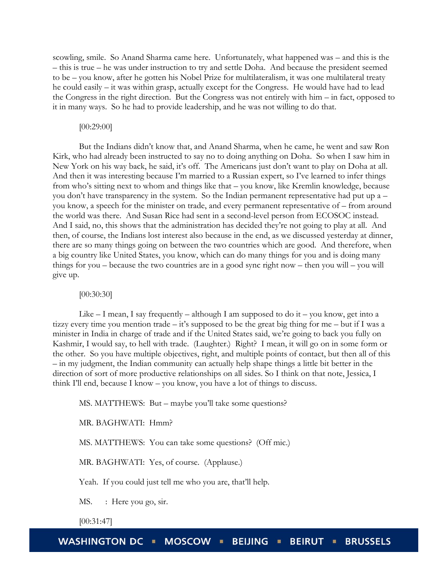scowling, smile. So Anand Sharma came here. Unfortunately, what happened was – and this is the – this is true – he was under instruction to try and settle Doha. And because the president seemed to be – you know, after he gotten his Nobel Prize for multilateralism, it was one multilateral treaty he could easily – it was within grasp, actually except for the Congress. He would have had to lead the Congress in the right direction. But the Congress was not entirely with him – in fact, opposed to it in many ways. So he had to provide leadership, and he was not willing to do that.

#### [00:29:00]

But the Indians didn't know that, and Anand Sharma, when he came, he went and saw Ron Kirk, who had already been instructed to say no to doing anything on Doha. So when I saw him in New York on his way back, he said, it's off. The Americans just don't want to play on Doha at all. And then it was interesting because I'm married to a Russian expert, so I've learned to infer things from who's sitting next to whom and things like that – you know, like Kremlin knowledge, because you don't have transparency in the system. So the Indian permanent representative had put up a – you know, a speech for the minister on trade, and every permanent representative of – from around the world was there. And Susan Rice had sent in a second-level person from ECOSOC instead. And I said, no, this shows that the administration has decided they're not going to play at all. And then, of course, the Indians lost interest also because in the end, as we discussed yesterday at dinner, there are so many things going on between the two countries which are good. And therefore, when a big country like United States, you know, which can do many things for you and is doing many things for you – because the two countries are in a good sync right now – then you will – you will give up.

#### [00:30:30]

Like  $-$  I mean, I say frequently  $-$  although I am supposed to do it  $-$  you know, get into a tizzy every time you mention trade – it's supposed to be the great big thing for me – but if I was a minister in India in charge of trade and if the United States said, we're going to back you fully on Kashmir, I would say, to hell with trade. (Laughter.) Right? I mean, it will go on in some form or the other. So you have multiple objectives, right, and multiple points of contact, but then all of this – in my judgment, the Indian community can actually help shape things a little bit better in the direction of sort of more productive relationships on all sides. So I think on that note, Jessica, I think I'll end, because I know – you know, you have a lot of things to discuss.

MS. MATTHEWS: But – maybe you'll take some questions?

MR. BAGHWATI: Hmm?

MS. MATTHEWS: You can take some questions? (Off mic.)

MR. BAGHWATI: Yes, of course. (Applause.)

Yeah. If you could just tell me who you are, that'll help.

MS. : Here you go, sir.

[00:31:47]

**WASHINGTON DC** MOSCOW **I BEIJING BRUSSELS**  $\blacksquare$ **BEIRUT**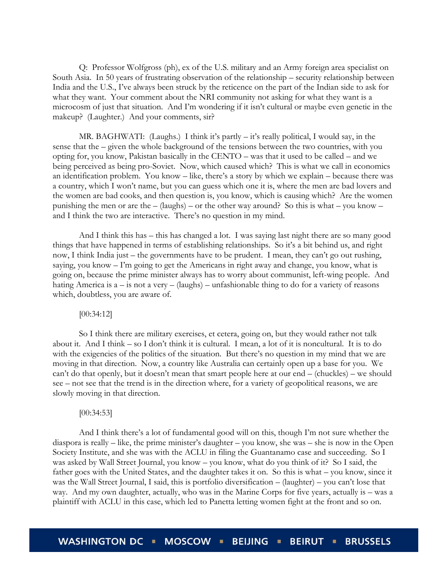Q: Professor Wolfgross (ph), ex of the U.S. military and an Army foreign area specialist on South Asia. In 50 years of frustrating observation of the relationship – security relationship between India and the U.S., I've always been struck by the reticence on the part of the Indian side to ask for what they want. Your comment about the NRI community not asking for what they want is a microcosm of just that situation. And I'm wondering if it isn't cultural or maybe even genetic in the makeup? (Laughter.) And your comments, sir?

MR. BAGHWATI: (Laughs.) I think it's partly – it's really political, I would say, in the sense that the – given the whole background of the tensions between the two countries, with you opting for, you know, Pakistan basically in the CENTO – was that it used to be called – and we being perceived as being pro-Soviet. Now, which caused which? This is what we call in economics an identification problem. You know – like, there's a story by which we explain – because there was a country, which I won't name, but you can guess which one it is, where the men are bad lovers and the women are bad cooks, and then question is, you know, which is causing which? Are the women punishing the men or are the  $-$  (laughs) – or the other way around? So this is what – you know – and I think the two are interactive. There's no question in my mind.

And I think this has – this has changed a lot. I was saying last night there are so many good things that have happened in terms of establishing relationships. So it's a bit behind us, and right now, I think India just – the governments have to be prudent. I mean, they can't go out rushing, saying, you know – I'm going to get the Americans in right away and change, you know, what is going on, because the prime minister always has to worry about communist, left-wing people. And hating America is a – is not a very – (laughs) – unfashionable thing to do for a variety of reasons which, doubtless, you are aware of.

#### [00:34:12]

So I think there are military exercises, et cetera, going on, but they would rather not talk about it. And I think – so I don't think it is cultural. I mean, a lot of it is noncultural. It is to do with the exigencies of the politics of the situation. But there's no question in my mind that we are moving in that direction. Now, a country like Australia can certainly open up a base for you. We can't do that openly, but it doesn't mean that smart people here at our end – (chuckles) – we should see – not see that the trend is in the direction where, for a variety of geopolitical reasons, we are slowly moving in that direction.

#### [00:34:53]

And I think there's a lot of fundamental good will on this, though I'm not sure whether the diaspora is really – like, the prime minister's daughter – you know, she was – she is now in the Open Society Institute, and she was with the ACLU in filing the Guantanamo case and succeeding. So I was asked by Wall Street Journal, you know – you know, what do you think of it? So I said, the father goes with the United States, and the daughter takes it on. So this is what – you know, since it was the Wall Street Journal, I said, this is portfolio diversification – (laughter) – you can't lose that way. And my own daughter, actually, who was in the Marine Corps for five years, actually is – was a plaintiff with ACLU in this case, which led to Panetta letting women fight at the front and so on.